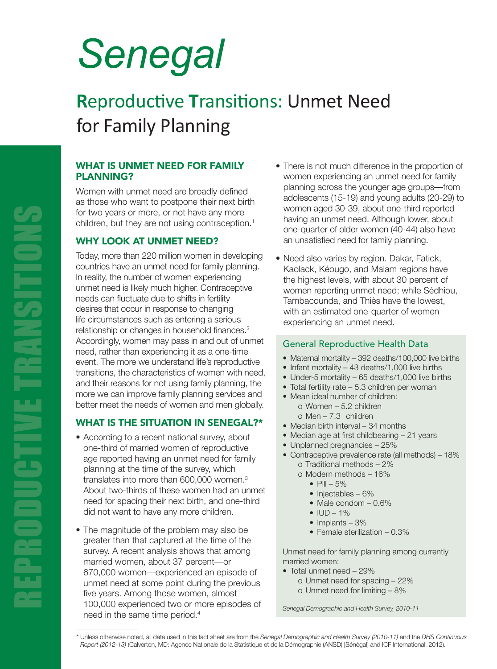# *Senegal*

## **R**eproductive **T**ransitions: Unmet Need for Family Planning

#### WHAT IS UNMET NEED FOR FAMILY PLANNING?

Women with unmet need are broadly defined as those who want to postpone their next birth for two years or more, or not have any more children, but they are not using contraception.<sup>1</sup>

#### WHY LOOK AT UNMET NEED?

Today, more than 220 million women in developing countries have an unmet need for family planning. In reality, the number of women experiencing unmet need is likely much higher. Contraceptive needs can fluctuate due to shifts in fertility desires that occur in response to changing life circumstances such as entering a serious relationship or changes in household finances.<sup>2</sup> Accordingly, women may pass in and out of unmet need, rather than experiencing it as a one-time event. The more we understand life's reproductive transitions, the characteristics of women with need, and their reasons for not using family planning, the more we can improve family planning services and better meet the needs of women and men globally.

### WHAT IS THE SITUATION IN SENEGAL?\*

- According to a recent national survey, about one-third of married women of reproductive age reported having an unmet need for family planning at the time of the survey, which translates into more than 600,000 women.3 About two-thirds of these women had an unmet need for spacing their next birth, and one-third did not want to have any more children.
- The magnitude of the problem may also be greater than that captured at the time of the survey. A recent analysis shows that among married women, about 37 percent—or 670,000 women—experienced an episode of unmet need at some point during the previous five years. Among those women, almost 100,000 experienced two or more episodes of need in the same time period.4
- There is not much difference in the proportion of women experiencing an unmet need for family planning across the younger age groups—from adolescents (15-19) and young adults (20-29) to women aged 30-39, about one-third reported having an unmet need. Although lower, about one-quarter of older women (40-44) also have an unsatisfied need for family planning.
- Need also varies by region. Dakar, Fatick, Kaolack, Kéougo, and Malam regions have the highest levels, with about 30 percent of women reporting unmet need; while Sédhiou, Tambacounda, and Thiès have the lowest, with an estimated one-quarter of women experiencing an unmet need.

#### General Reproductive Health Data

- Maternal mortality 392 deaths/100,000 live births
- Infant mortality 43 deaths/1,000 live births
- Under-5 mortality 65 deaths/1,000 live births
- Total fertility rate 5.3 children per woman
- Mean ideal number of children:
	- o Women 5.2 children
	- o Men 7.3 children
- Median birth interval 34 months
- Median age at first childbearing 21 years
- Unplanned pregnancies 25%
- Contraceptive prevalence rate (all methods) 18% o Traditional methods – 2%
	- o Modern methods 16%
		- Pill  $-5%$
		- Injectables 6%
		- Male condom 0.6%
		- $**ID 1%**$
		- Implants 3%
		- Female sterilization 0.3%

Unmet need for family planning among currently married women:

- Total unmet need 29% o Unmet need for spacing – 22%
	- o Unmet need for limiting 8%

*Senegal Demographic and Health Survey, 2010-11*

<sup>\*</sup> Unless otherwise noted, all data used in this fact sheet are from the *Senegal Demographic and Health Survey (2010-11)* and the *DHS Continuous Report (2012-13)* (Calverton, MD: Agence Nationale de la Statistique et de la Démographie (ANSD) [Sénégal] and ICF International, 2012).